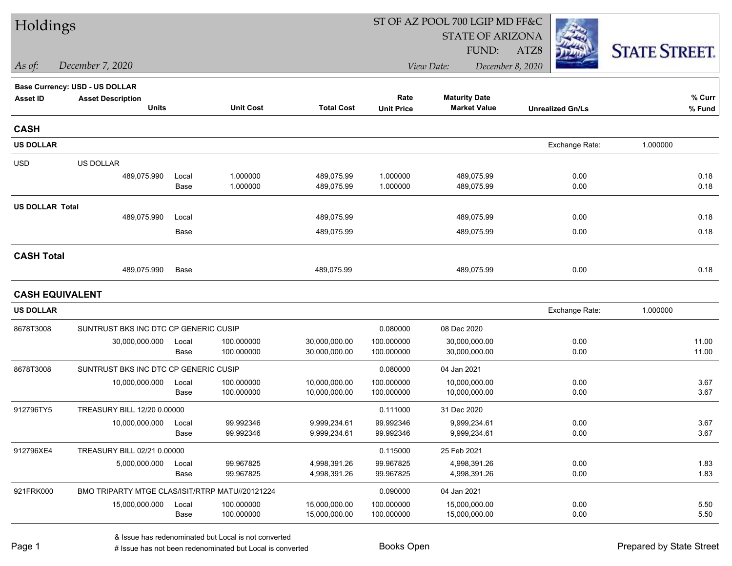| Holdings               |                                                 |       |                          |                                | ST OF AZ POOL 700 LGIP MD FF&C |                                |                         |                      |  |
|------------------------|-------------------------------------------------|-------|--------------------------|--------------------------------|--------------------------------|--------------------------------|-------------------------|----------------------|--|
|                        |                                                 |       |                          |                                |                                | <b>STATE OF ARIZONA</b>        |                         |                      |  |
|                        |                                                 |       |                          |                                |                                | FUND:                          | ATZ8                    | <b>STATE STREET.</b> |  |
| As of:                 | December 7, 2020                                |       |                          |                                |                                | December 8, 2020<br>View Date: |                         |                      |  |
|                        | <b>Base Currency: USD - US DOLLAR</b>           |       |                          |                                |                                |                                |                         |                      |  |
| <b>Asset ID</b>        | <b>Asset Description</b>                        |       |                          |                                | Rate                           | <b>Maturity Date</b>           |                         | % Curr               |  |
|                        | <b>Units</b>                                    |       | <b>Unit Cost</b>         | <b>Total Cost</b>              | <b>Unit Price</b>              | <b>Market Value</b>            | <b>Unrealized Gn/Ls</b> | % Fund               |  |
| <b>CASH</b>            |                                                 |       |                          |                                |                                |                                |                         |                      |  |
| <b>US DOLLAR</b>       |                                                 |       |                          |                                |                                |                                | Exchange Rate:          | 1.000000             |  |
| <b>USD</b>             | US DOLLAR                                       |       |                          |                                |                                |                                |                         |                      |  |
|                        | 489,075.990                                     | Local | 1.000000                 | 489,075.99                     | 1.000000                       | 489,075.99                     | 0.00                    | 0.18                 |  |
|                        |                                                 | Base  | 1.000000                 | 489,075.99                     | 1.000000                       | 489,075.99                     | 0.00                    | 0.18                 |  |
| <b>US DOLLAR Total</b> |                                                 |       |                          |                                |                                |                                |                         |                      |  |
|                        | 489,075.990                                     | Local |                          | 489,075.99                     |                                | 489,075.99                     | 0.00                    | 0.18                 |  |
|                        |                                                 | Base  |                          | 489,075.99                     |                                | 489,075.99                     | 0.00                    | 0.18                 |  |
| <b>CASH Total</b>      |                                                 |       |                          |                                |                                |                                |                         |                      |  |
|                        | 489,075.990                                     | Base  |                          | 489,075.99                     |                                | 489,075.99                     | 0.00                    | 0.18                 |  |
| <b>CASH EQUIVALENT</b> |                                                 |       |                          |                                |                                |                                |                         |                      |  |
| <b>US DOLLAR</b>       |                                                 |       |                          |                                |                                |                                | Exchange Rate:          | 1.000000             |  |
| 8678T3008              | SUNTRUST BKS INC DTC CP GENERIC CUSIP           |       |                          |                                | 0.080000                       | 08 Dec 2020                    |                         |                      |  |
|                        | 30,000,000.000                                  | Local | 100.000000               | 30,000,000.00                  | 100.000000                     | 30,000,000.00                  | 0.00                    | 11.00                |  |
|                        |                                                 | Base  | 100.000000               | 30,000,000.00                  | 100.000000                     | 30,000,000.00                  | 0.00                    | 11.00                |  |
| 8678T3008              | SUNTRUST BKS INC DTC CP GENERIC CUSIP           |       |                          |                                | 0.080000                       | 04 Jan 2021                    |                         |                      |  |
|                        | 10,000,000.000                                  | Local | 100.000000               | 10,000,000.00                  | 100.000000                     | 10,000,000.00                  | 0.00                    | 3.67                 |  |
|                        |                                                 | Base  | 100.000000               | 10,000,000.00                  | 100.000000                     | 10,000,000.00                  | 0.00                    | 3.67                 |  |
| 912796TY5              | TREASURY BILL 12/20 0.00000                     |       |                          |                                | 0.111000                       | 31 Dec 2020                    |                         |                      |  |
|                        | 10,000,000.000                                  | Local | 99.992346                | 9,999,234.61                   | 99.992346                      | 9,999,234.61                   | 0.00                    | 3.67                 |  |
|                        |                                                 | Base  | 99.992346                | 9,999,234.61                   | 99.992346                      | 9,999,234.61                   | 0.00                    | 3.67                 |  |
| 912796XE4              | TREASURY BILL 02/21 0.00000                     |       |                          |                                | 0.115000                       | 25 Feb 2021                    |                         |                      |  |
|                        | 5,000,000.000                                   | Local | 99.967825<br>99.967825   | 4,998,391.26                   | 99.967825                      | 4,998,391.26                   | 0.00                    | 1.83                 |  |
|                        |                                                 | Base  |                          | 4,998,391.26                   | 99.967825                      | 4,998,391.26                   | 0.00                    | 1.83                 |  |
| 921FRK000              | BMO TRIPARTY MTGE CLAS/ISIT/RTRP MATU//20121224 |       |                          |                                | 0.090000                       | 04 Jan 2021                    |                         |                      |  |
|                        | 15,000,000.000                                  | Local | 100.000000<br>100.000000 | 15,000,000.00<br>15,000,000.00 | 100.000000<br>100.000000       | 15,000,000.00<br>15,000,000.00 | 0.00<br>0.00            | 5.50<br>5.50         |  |
|                        |                                                 | Base  |                          |                                |                                |                                |                         |                      |  |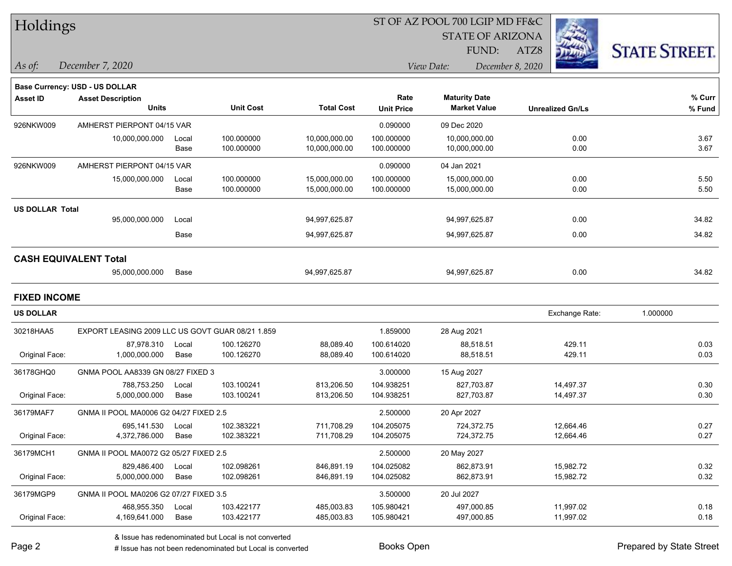|  | <b>Holdings</b> |
|--|-----------------|
|--|-----------------|

#### ST OF AZ POOL 700 LGIP MD FF&C

STATE OF ARIZONA

*As of: View Date: December 8, 2020* FUND:

ATZ8



| December 7, 2020<br>As of: |  |  |
|----------------------------|--|--|
|----------------------------|--|--|

|                        | Base Currency: USD - US DOLLAR                   |             |                  |                   |                   |                      |                         |          |
|------------------------|--------------------------------------------------|-------------|------------------|-------------------|-------------------|----------------------|-------------------------|----------|
| <b>Asset ID</b>        | <b>Asset Description</b>                         |             |                  |                   | Rate              | <b>Maturity Date</b> |                         | % Curr   |
|                        | <b>Units</b>                                     |             | <b>Unit Cost</b> | <b>Total Cost</b> | <b>Unit Price</b> | <b>Market Value</b>  | <b>Unrealized Gn/Ls</b> | % Fund   |
| 926NKW009              | AMHERST PIERPONT 04/15 VAR                       |             |                  |                   | 0.090000          | 09 Dec 2020          |                         |          |
|                        | 10,000,000.000                                   | Local       | 100.000000       | 10,000,000.00     | 100.000000        | 10,000,000.00        | 0.00                    | 3.67     |
|                        |                                                  | <b>Base</b> | 100.000000       | 10,000,000.00     | 100.000000        | 10,000,000.00        | 0.00                    | 3.67     |
| 926NKW009              | AMHERST PIERPONT 04/15 VAR                       |             |                  |                   | 0.090000          | 04 Jan 2021          |                         |          |
|                        | 15,000,000.000                                   | Local       | 100.000000       | 15,000,000.00     | 100.000000        | 15,000,000.00        | 0.00                    | 5.50     |
|                        |                                                  | Base        | 100.000000       | 15,000,000.00     | 100.000000        | 15,000,000.00        | 0.00                    | 5.50     |
| <b>US DOLLAR Total</b> |                                                  |             |                  |                   |                   |                      |                         |          |
|                        | 95,000,000.000                                   | Local       |                  | 94,997,625.87     |                   | 94,997,625.87        | 0.00                    | 34.82    |
|                        |                                                  | <b>Base</b> |                  | 94,997,625.87     |                   | 94,997,625.87        | 0.00                    | 34.82    |
|                        | <b>CASH EQUIVALENT Total</b>                     |             |                  |                   |                   |                      |                         |          |
|                        | 95,000,000.000                                   | Base        |                  | 94,997,625.87     |                   | 94,997,625.87        | 0.00                    | 34.82    |
| <b>FIXED INCOME</b>    |                                                  |             |                  |                   |                   |                      |                         |          |
| <b>US DOLLAR</b>       |                                                  |             |                  |                   |                   |                      | Exchange Rate:          | 1.000000 |
| 30218HAA5              | EXPORT LEASING 2009 LLC US GOVT GUAR 08/21 1.859 |             |                  |                   | 1.859000          | 28 Aug 2021          |                         |          |
|                        | 87.978.310                                       | Local       | 100.126270       | 88,089.40         | 100.614020        | 88,518.51            | 429.11                  | 0.03     |
| Original Face:         | 1,000,000.000                                    | Base        | 100.126270       | 88,089.40         | 100.614020        | 88,518.51            | 429.11                  | 0.03     |
| 36178GHQ0              | GNMA POOL AA8339 GN 08/27 FIXED 3                |             |                  |                   | 3.000000          | 15 Aug 2027          |                         |          |
|                        | 788.753.250                                      | Local       | 103.100241       | 813,206.50        | 104.938251        | 827,703.87           | 14,497.37               | 0.30     |
| Original Face:         | 5,000,000.000                                    | Base        | 103.100241       | 813,206.50        | 104.938251        | 827,703.87           | 14,497.37               | 0.30     |
| 36179MAF7              | GNMA II POOL MA0006 G2 04/27 FIXED 2.5           |             |                  |                   | 2.500000          | 20 Apr 2027          |                         |          |
|                        | 695,141.530                                      | Local       | 102.383221       | 711,708.29        | 104.205075        | 724,372.75           | 12,664.46               | 0.27     |
| Original Face:         | 4,372,786.000                                    | Base        | 102.383221       | 711,708.29        | 104.205075        | 724,372.75           | 12,664.46               | 0.27     |

Original Face: 5,000,000.000 Base 102.098261 846,891.19 104.025082 862,873.91 15,982.72 0.32

Original Face: 4,169,641.000 Base 103.422177 485,003.83 105.980421 497,000.85 11,997.02 0.18

36179MCH1 GNMA II POOL MA0072 G2 05/27 FIXED 2.5 2.500000 20 May 2027

36179MGP9 GNMA II POOL MA0206 G2 07/27 FIXED 3.5 3.50000 3.500000 20 Jul 2027

829,486.400 Local 102.098261 846,891.19 104.025082 862,873.91 15,982.72 0.32

468,955.350 Local 103.422177 485,003.83 105.980421 497,000.85 11,997.02 0.18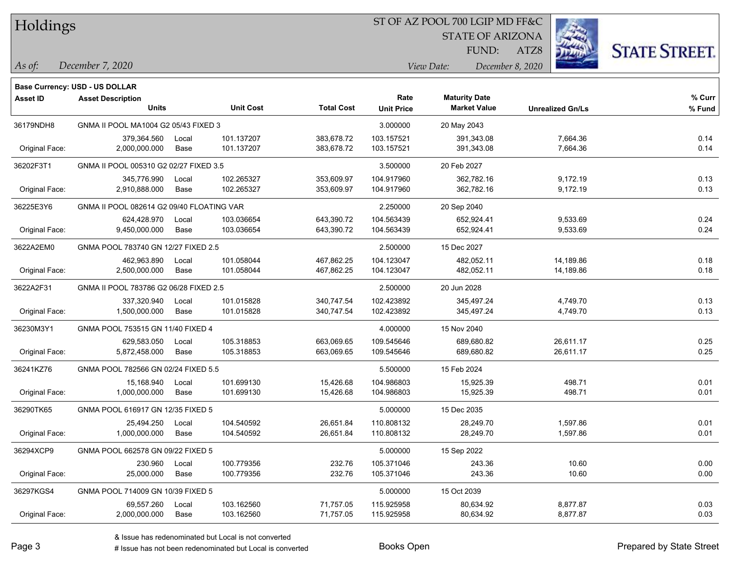### ST OF AZ POOL 700 LGIP MD FF&C

STATE OF ARIZONA

ATZ8



FUND:

*December 7, 2020 As of: View Date: December 8, 2020*

|                 | <b>Base Currency: USD - US DOLLAR</b>     |       |                  |                   |                   |                      |                         |        |
|-----------------|-------------------------------------------|-------|------------------|-------------------|-------------------|----------------------|-------------------------|--------|
| <b>Asset ID</b> | <b>Asset Description</b>                  |       |                  |                   | Rate              | <b>Maturity Date</b> |                         | % Curr |
|                 | <b>Units</b>                              |       | <b>Unit Cost</b> | <b>Total Cost</b> | <b>Unit Price</b> | <b>Market Value</b>  | <b>Unrealized Gn/Ls</b> | % Fund |
| 36179NDH8       | GNMA II POOL MA1004 G2 05/43 FIXED 3      |       |                  |                   | 3.000000          | 20 May 2043          |                         |        |
|                 | 379,364.560                               | Local | 101.137207       | 383,678.72        | 103.157521        | 391,343.08           | 7,664.36                | 0.14   |
| Original Face:  | 2,000,000.000                             | Base  | 101.137207       | 383,678.72        | 103.157521        | 391,343.08           | 7,664.36                | 0.14   |
| 36202F3T1       | GNMA II POOL 005310 G2 02/27 FIXED 3.5    |       |                  |                   | 3.500000          | 20 Feb 2027          |                         |        |
|                 | 345,776.990                               | Local | 102.265327       | 353,609.97        | 104.917960        | 362,782.16           | 9,172.19                | 0.13   |
| Original Face:  | 2,910,888.000                             | Base  | 102.265327       | 353,609.97        | 104.917960        | 362,782.16           | 9,172.19                | 0.13   |
| 36225E3Y6       | GNMA II POOL 082614 G2 09/40 FLOATING VAR |       |                  |                   | 2.250000          | 20 Sep 2040          |                         |        |
|                 | 624,428.970                               | Local | 103.036654       | 643,390.72        | 104.563439        | 652,924.41           | 9,533.69                | 0.24   |
| Original Face:  | 9,450,000.000                             | Base  | 103.036654       | 643,390.72        | 104.563439        | 652,924.41           | 9,533.69                | 0.24   |
| 3622A2EM0       | GNMA POOL 783740 GN 12/27 FIXED 2.5       |       |                  |                   | 2.500000          | 15 Dec 2027          |                         |        |
|                 | 462,963.890                               | Local | 101.058044       | 467,862.25        | 104.123047        | 482,052.11           | 14,189.86               | 0.18   |
| Original Face:  | 2,500,000.000                             | Base  | 101.058044       | 467,862.25        | 104.123047        | 482,052.11           | 14,189.86               | 0.18   |
| 3622A2F31       | GNMA II POOL 783786 G2 06/28 FIXED 2.5    |       |                  |                   | 2.500000          | 20 Jun 2028          |                         |        |
|                 | 337,320.940                               | Local | 101.015828       | 340,747.54        | 102.423892        | 345,497.24           | 4,749.70                | 0.13   |
| Original Face:  | 1,500,000.000                             | Base  | 101.015828       | 340,747.54        | 102.423892        | 345,497.24           | 4,749.70                | 0.13   |
| 36230M3Y1       | GNMA POOL 753515 GN 11/40 FIXED 4         |       |                  |                   | 4.000000          | 15 Nov 2040          |                         |        |
|                 | 629,583.050                               | Local | 105.318853       | 663,069.65        | 109.545646        | 689,680.82           | 26,611.17               | 0.25   |
| Original Face:  | 5,872,458.000                             | Base  | 105.318853       | 663,069.65        | 109.545646        | 689,680.82           | 26,611.17               | 0.25   |
| 36241KZ76       | GNMA POOL 782566 GN 02/24 FIXED 5.5       |       |                  |                   | 5.500000          | 15 Feb 2024          |                         |        |
|                 | 15,168.940                                | Local | 101.699130       | 15,426.68         | 104.986803        | 15,925.39            | 498.71                  | 0.01   |
| Original Face:  | 1,000,000.000                             | Base  | 101.699130       | 15,426.68         | 104.986803        | 15,925.39            | 498.71                  | 0.01   |
| 36290TK65       | GNMA POOL 616917 GN 12/35 FIXED 5         |       |                  |                   | 5.000000          | 15 Dec 2035          |                         |        |
|                 | 25,494.250                                | Local | 104.540592       | 26,651.84         | 110.808132        | 28,249.70            | 1,597.86                | 0.01   |
| Original Face:  | 1,000,000.000                             | Base  | 104.540592       | 26,651.84         | 110.808132        | 28,249.70            | 1,597.86                | 0.01   |
| 36294XCP9       | GNMA POOL 662578 GN 09/22 FIXED 5         |       |                  |                   | 5.000000          | 15 Sep 2022          |                         |        |
|                 | 230.960                                   | Local | 100.779356       | 232.76            | 105.371046        | 243.36               | 10.60                   | 0.00   |
| Original Face:  | 25,000.000                                | Base  | 100.779356       | 232.76            | 105.371046        | 243.36               | 10.60                   | 0.00   |
| 36297KGS4       | GNMA POOL 714009 GN 10/39 FIXED 5         |       |                  |                   | 5.000000          | 15 Oct 2039          |                         |        |
|                 | 69,557.260                                | Local | 103.162560       | 71,757.05         | 115.925958        | 80,634.92            | 8,877.87                | 0.03   |
| Original Face:  | 2,000,000.000                             | Base  | 103.162560       | 71,757.05         | 115.925958        | 80,634.92            | 8,877.87                | 0.03   |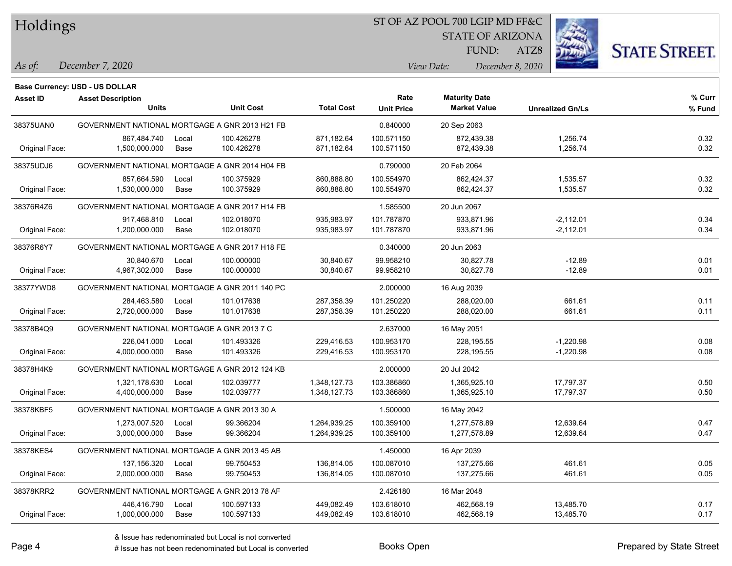#### ST OF AZ POOL 700 LGIP MD FF&C

STATE OF ARIZONA

ATZ8



*December 7, 2020 As of: View Date: December 8, 2020*

**Base Currency: USD - US DOLLAR**

FUND:

| Asset ID       | <b>Asset Description</b>                      |                                                |                   | Rate              | <b>Maturity Date</b> |                         | % Curr |
|----------------|-----------------------------------------------|------------------------------------------------|-------------------|-------------------|----------------------|-------------------------|--------|
|                | <b>Units</b>                                  | <b>Unit Cost</b>                               | <b>Total Cost</b> | <b>Unit Price</b> | <b>Market Value</b>  | <b>Unrealized Gn/Ls</b> | % Fund |
| 38375UAN0      |                                               | GOVERNMENT NATIONAL MORTGAGE A GNR 2013 H21 FB |                   | 0.840000          | 20 Sep 2063          |                         |        |
|                | 867,484.740                                   | 100.426278<br>Local                            | 871,182.64        | 100.571150        | 872,439.38           | 1,256.74                | 0.32   |
| Original Face: | 1,500,000.000                                 | Base<br>100.426278                             | 871,182.64        | 100.571150        | 872,439.38           | 1,256.74                | 0.32   |
| 38375UDJ6      |                                               | GOVERNMENT NATIONAL MORTGAGE A GNR 2014 H04 FB |                   | 0.790000          | 20 Feb 2064          |                         |        |
|                | 857,664.590                                   | 100.375929<br>Local                            | 860,888.80        | 100.554970        | 862,424.37           | 1,535.57                | 0.32   |
| Original Face: | 1,530,000.000                                 | <b>Base</b><br>100.375929                      | 860,888.80        | 100.554970        | 862,424.37           | 1,535.57                | 0.32   |
| 38376R4Z6      |                                               | GOVERNMENT NATIONAL MORTGAGE A GNR 2017 H14 FB |                   | 1.585500          | 20 Jun 2067          |                         |        |
|                | 917,468.810                                   | 102.018070<br>Local                            | 935,983.97        | 101.787870        | 933,871.96           | $-2,112.01$             | 0.34   |
| Original Face: | 1,200,000.000                                 | Base<br>102.018070                             | 935,983.97        | 101.787870        | 933,871.96           | $-2,112.01$             | 0.34   |
| 38376R6Y7      |                                               | GOVERNMENT NATIONAL MORTGAGE A GNR 2017 H18 FE |                   | 0.340000          | 20 Jun 2063          |                         |        |
|                | 30,840.670                                    | 100.000000<br>Local                            | 30,840.67         | 99.958210         | 30,827.78            | $-12.89$                | 0.01   |
| Original Face: | 4,967,302.000                                 | 100.000000<br>Base                             | 30,840.67         | 99.958210         | 30,827.78            | $-12.89$                | 0.01   |
| 38377YWD8      |                                               | GOVERNMENT NATIONAL MORTGAGE A GNR 2011 140 PC |                   | 2.000000          | 16 Aug 2039          |                         |        |
|                | 284,463.580                                   | 101.017638<br>Local                            | 287,358.39        | 101.250220        | 288,020.00           | 661.61                  | 0.11   |
| Original Face: | 2,720,000.000                                 | 101.017638<br>Base                             | 287,358.39        | 101.250220        | 288,020.00           | 661.61                  | 0.11   |
| 38378B4Q9      | GOVERNMENT NATIONAL MORTGAGE A GNR 2013 7 C   |                                                |                   | 2.637000          | 16 May 2051          |                         |        |
|                | 226,041.000                                   | 101.493326<br>Local                            | 229,416.53        | 100.953170        | 228,195.55           | $-1,220.98$             | 0.08   |
| Original Face: | 4,000,000.000                                 | Base<br>101.493326                             | 229,416.53        | 100.953170        | 228,195.55           | $-1,220.98$             | 0.08   |
| 38378H4K9      |                                               | GOVERNMENT NATIONAL MORTGAGE A GNR 2012 124 KB |                   | 2.000000          | 20 Jul 2042          |                         |        |
|                | 1,321,178.630                                 | 102.039777<br>Local                            | 1,348,127.73      | 103.386860        | 1,365,925.10         | 17,797.37               | 0.50   |
| Original Face: | 4,400,000.000                                 | 102.039777<br>Base                             | 1,348,127.73      | 103.386860        | 1,365,925.10         | 17,797.37               | 0.50   |
| 38378KBF5      | GOVERNMENT NATIONAL MORTGAGE A GNR 2013 30 A  |                                                |                   | 1.500000          | 16 May 2042          |                         |        |
|                | 1,273,007.520                                 | 99.366204<br>Local                             | 1,264,939.25      | 100.359100        | 1,277,578.89         | 12,639.64               | 0.47   |
| Original Face: | 3,000,000.000                                 | 99.366204<br>Base                              | 1,264,939.25      | 100.359100        | 1,277,578.89         | 12,639.64               | 0.47   |
| 38378KES4      | GOVERNMENT NATIONAL MORTGAGE A GNR 2013 45 AB |                                                |                   | 1.450000          | 16 Apr 2039          |                         |        |
|                | 137, 156. 320                                 | 99.750453<br>Local                             | 136,814.05        | 100.087010        | 137,275.66           | 461.61                  | 0.05   |
| Original Face: | 2,000,000.000                                 | Base<br>99.750453                              | 136,814.05        | 100.087010        | 137,275.66           | 461.61                  | 0.05   |
| 38378KRR2      | GOVERNMENT NATIONAL MORTGAGE A GNR 2013 78 AF |                                                |                   | 2.426180          | 16 Mar 2048          |                         |        |
|                | 446,416.790                                   | 100.597133<br>Local                            | 449,082.49        | 103.618010        | 462,568.19           | 13,485.70               | 0.17   |
| Original Face: | 1,000,000.000                                 | 100.597133<br>Base                             | 449,082.49        | 103.618010        | 462,568.19           | 13,485.70               | 0.17   |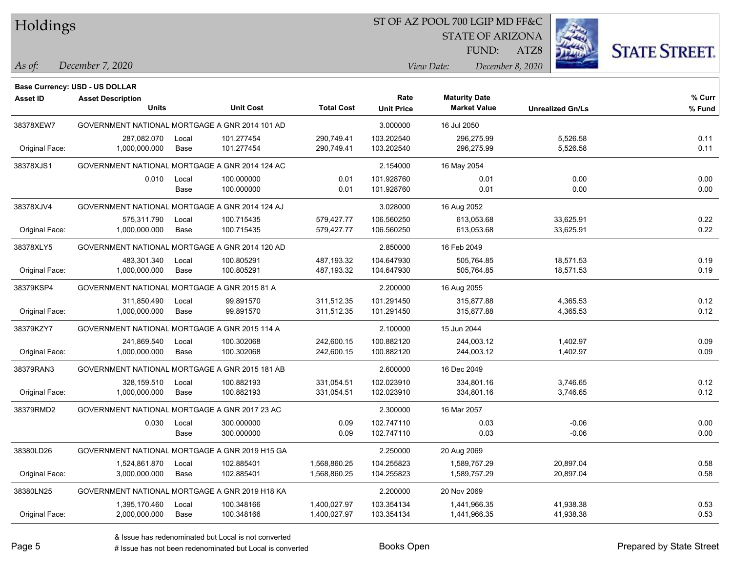### ST OF AZ POOL 700 LGIP MD FF&C

STATE OF ARIZONA

ATZ8



FUND:

*December 7, 2020 As of: View Date: December 8, 2020*

|                 | <b>Base Currency: USD - US DOLLAR</b>          |       |                  |                   |                   |                      |                         |        |
|-----------------|------------------------------------------------|-------|------------------|-------------------|-------------------|----------------------|-------------------------|--------|
| <b>Asset ID</b> | <b>Asset Description</b>                       |       |                  |                   | Rate              | <b>Maturity Date</b> |                         | % Curr |
|                 | <b>Units</b>                                   |       | <b>Unit Cost</b> | <b>Total Cost</b> | <b>Unit Price</b> | <b>Market Value</b>  | <b>Unrealized Gn/Ls</b> | % Fund |
| 38378XEW7       | GOVERNMENT NATIONAL MORTGAGE A GNR 2014 101 AD |       |                  |                   | 3.000000          | 16 Jul 2050          |                         |        |
|                 | 287,082.070                                    | Local | 101.277454       | 290,749.41        | 103.202540        | 296,275.99           | 5,526.58                | 0.11   |
| Original Face:  | 1,000,000.000                                  | Base  | 101.277454       | 290,749.41        | 103.202540        | 296,275.99           | 5,526.58                | 0.11   |
| 38378XJS1       | GOVERNMENT NATIONAL MORTGAGE A GNR 2014 124 AC |       |                  |                   | 2.154000          | 16 May 2054          |                         |        |
|                 | 0.010                                          | Local | 100.000000       | 0.01              | 101.928760        | 0.01                 | 0.00                    | 0.00   |
|                 |                                                | Base  | 100.000000       | 0.01              | 101.928760        | 0.01                 | 0.00                    | 0.00   |
| 38378XJV4       | GOVERNMENT NATIONAL MORTGAGE A GNR 2014 124 AJ |       |                  |                   | 3.028000          | 16 Aug 2052          |                         |        |
|                 | 575,311.790                                    | Local | 100.715435       | 579,427.77        | 106.560250        | 613,053.68           | 33,625.91               | 0.22   |
| Original Face:  | 1,000,000.000                                  | Base  | 100.715435       | 579,427.77        | 106.560250        | 613,053.68           | 33,625.91               | 0.22   |
| 38378XLY5       | GOVERNMENT NATIONAL MORTGAGE A GNR 2014 120 AD |       |                  |                   | 2.850000          | 16 Feb 2049          |                         |        |
|                 | 483,301.340                                    | Local | 100.805291       | 487,193.32        | 104.647930        | 505,764.85           | 18,571.53               | 0.19   |
| Original Face:  | 1,000,000.000                                  | Base  | 100.805291       | 487,193.32        | 104.647930        | 505,764.85           | 18,571.53               | 0.19   |
| 38379KSP4       | GOVERNMENT NATIONAL MORTGAGE A GNR 2015 81 A   |       |                  |                   | 2.200000          | 16 Aug 2055          |                         |        |
|                 | 311,850.490                                    | Local | 99.891570        | 311,512.35        | 101.291450        | 315,877.88           | 4,365.53                | 0.12   |
| Original Face:  | 1,000,000.000                                  | Base  | 99.891570        | 311,512.35        | 101.291450        | 315,877.88           | 4,365.53                | 0.12   |
| 38379KZY7       | GOVERNMENT NATIONAL MORTGAGE A GNR 2015 114 A  |       |                  |                   | 2.100000          | 15 Jun 2044          |                         |        |
|                 | 241,869.540                                    | Local | 100.302068       | 242,600.15        | 100.882120        | 244,003.12           | 1,402.97                | 0.09   |
| Original Face:  | 1,000,000.000                                  | Base  | 100.302068       | 242,600.15        | 100.882120        | 244,003.12           | 1,402.97                | 0.09   |
| 38379RAN3       | GOVERNMENT NATIONAL MORTGAGE A GNR 2015 181 AB |       |                  |                   | 2.600000          | 16 Dec 2049          |                         |        |
|                 | 328,159.510                                    | Local | 100.882193       | 331,054.51        | 102.023910        | 334,801.16           | 3,746.65                | 0.12   |
| Original Face:  | 1,000,000.000                                  | Base  | 100.882193       | 331,054.51        | 102.023910        | 334,801.16           | 3,746.65                | 0.12   |
| 38379RMD2       | GOVERNMENT NATIONAL MORTGAGE A GNR 2017 23 AC  |       |                  |                   | 2.300000          | 16 Mar 2057          |                         |        |
|                 | 0.030                                          | Local | 300.000000       | 0.09              | 102.747110        | 0.03                 | $-0.06$                 | 0.00   |
|                 |                                                | Base  | 300.000000       | 0.09              | 102.747110        | 0.03                 | $-0.06$                 | 0.00   |
| 38380LD26       | GOVERNMENT NATIONAL MORTGAGE A GNR 2019 H15 GA |       |                  |                   | 2.250000          | 20 Aug 2069          |                         |        |
|                 | 1,524,861.870                                  | Local | 102.885401       | 1,568,860.25      | 104.255823        | 1,589,757.29         | 20,897.04               | 0.58   |
| Original Face:  | 3,000,000.000                                  | Base  | 102.885401       | 1,568,860.25      | 104.255823        | 1,589,757.29         | 20,897.04               | 0.58   |
| 38380LN25       | GOVERNMENT NATIONAL MORTGAGE A GNR 2019 H18 KA |       |                  |                   | 2.200000          | 20 Nov 2069          |                         |        |
|                 | 1,395,170.460                                  | Local | 100.348166       | 1,400,027.97      | 103.354134        | 1,441,966.35         | 41,938.38               | 0.53   |
| Original Face:  | 2,000,000.000                                  | Base  | 100.348166       | 1,400,027.97      | 103.354134        | 1,441,966.35         | 41,938.38               | 0.53   |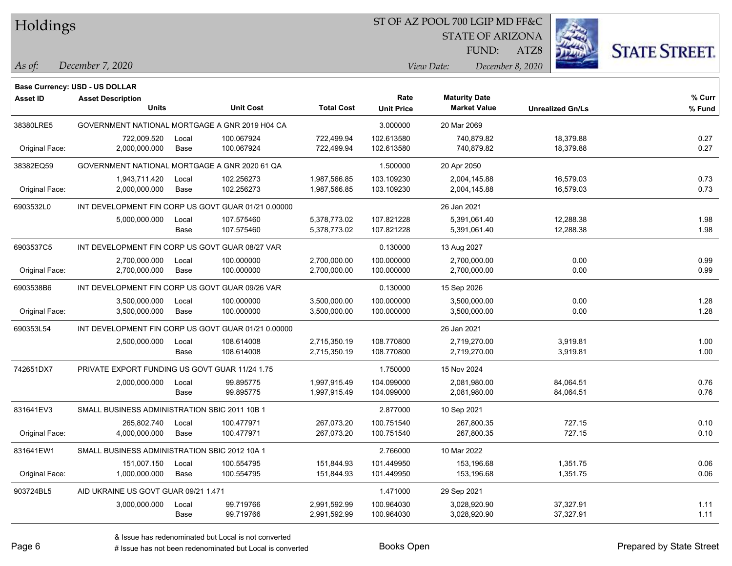#### ST OF AZ POOL 700 LGIP MD FF&C

STATE OF ARIZONA

ATZ8



**Base Currency: USD - US DOLLAR**

*December 7, 2020 As of: View Date: December 8, 2020* FUND:

| <b>Asset ID</b> | <b>Asset Description</b>                            |       |                  |                   | Rate              | <b>Maturity Date</b> |                         | % Curr |
|-----------------|-----------------------------------------------------|-------|------------------|-------------------|-------------------|----------------------|-------------------------|--------|
|                 | <b>Units</b>                                        |       | <b>Unit Cost</b> | <b>Total Cost</b> | <b>Unit Price</b> | <b>Market Value</b>  | <b>Unrealized Gn/Ls</b> | % Fund |
| 38380LRE5       | GOVERNMENT NATIONAL MORTGAGE A GNR 2019 H04 CA      |       |                  |                   | 3.000000          | 20 Mar 2069          |                         |        |
|                 | 722,009.520                                         | Local | 100.067924       | 722,499.94        | 102.613580        | 740,879.82           | 18,379.88               | 0.27   |
| Original Face:  | 2,000,000.000                                       | Base  | 100.067924       | 722,499.94        | 102.613580        | 740,879.82           | 18,379.88               | 0.27   |
| 38382EQ59       | GOVERNMENT NATIONAL MORTGAGE A GNR 2020 61 QA       |       |                  |                   | 1.500000          | 20 Apr 2050          |                         |        |
|                 | 1,943,711.420                                       | Local | 102.256273       | 1,987,566.85      | 103.109230        | 2,004,145.88         | 16,579.03               | 0.73   |
| Original Face:  | 2,000,000.000                                       | Base  | 102.256273       | 1,987,566.85      | 103.109230        | 2,004,145.88         | 16,579.03               | 0.73   |
| 6903532L0       | INT DEVELOPMENT FIN CORP US GOVT GUAR 01/21 0.00000 |       |                  |                   |                   | 26 Jan 2021          |                         |        |
|                 | 5,000,000.000                                       | Local | 107.575460       | 5,378,773.02      | 107.821228        | 5,391,061.40         | 12,288.38               | 1.98   |
|                 |                                                     | Base  | 107.575460       | 5,378,773.02      | 107.821228        | 5,391,061.40         | 12,288.38               | 1.98   |
| 6903537C5       | INT DEVELOPMENT FIN CORP US GOVT GUAR 08/27 VAR     |       |                  |                   | 0.130000          | 13 Aug 2027          |                         |        |
|                 | 2,700,000.000                                       | Local | 100.000000       | 2,700,000.00      | 100.000000        | 2,700,000.00         | 0.00                    | 0.99   |
| Original Face:  | 2,700,000.000                                       | Base  | 100.000000       | 2,700,000.00      | 100.000000        | 2,700,000.00         | 0.00                    | 0.99   |
| 6903538B6       | INT DEVELOPMENT FIN CORP US GOVT GUAR 09/26 VAR     |       |                  |                   | 0.130000          | 15 Sep 2026          |                         |        |
|                 | 3,500,000.000                                       | Local | 100.000000       | 3,500,000.00      | 100.000000        | 3,500,000.00         | 0.00                    | 1.28   |
| Original Face:  | 3,500,000.000                                       | Base  | 100.000000       | 3,500,000.00      | 100.000000        | 3,500,000.00         | 0.00                    | 1.28   |
| 690353L54       | INT DEVELOPMENT FIN CORP US GOVT GUAR 01/21 0.00000 |       |                  |                   | 26 Jan 2021       |                      |                         |        |
|                 | 2,500,000.000                                       | Local | 108.614008       | 2,715,350.19      | 108.770800        | 2,719,270.00         | 3,919.81                | 1.00   |
|                 |                                                     | Base  | 108.614008       | 2,715,350.19      | 108.770800        | 2,719,270.00         | 3,919.81                | 1.00   |
| 742651DX7       | PRIVATE EXPORT FUNDING US GOVT GUAR 11/24 1.75      |       |                  |                   | 1.750000          | 15 Nov 2024          |                         |        |
|                 | 2,000,000.000                                       | Local | 99.895775        | 1,997,915.49      | 104.099000        | 2,081,980.00         | 84,064.51               | 0.76   |
|                 |                                                     | Base  | 99.895775        | 1,997,915.49      | 104.099000        | 2,081,980.00         | 84,064.51               | 0.76   |
| 831641EV3       | SMALL BUSINESS ADMINISTRATION SBIC 2011 10B 1       |       |                  |                   | 2.877000          | 10 Sep 2021          |                         |        |
|                 | 265,802.740                                         | Local | 100.477971       | 267,073.20        | 100.751540        | 267,800.35           | 727.15                  | 0.10   |
| Original Face:  | 4,000,000.000                                       | Base  | 100.477971       | 267,073.20        | 100.751540        | 267,800.35           | 727.15                  | 0.10   |
| 831641EW1       | SMALL BUSINESS ADMINISTRATION SBIC 2012 10A 1       |       |                  |                   | 2.766000          | 10 Mar 2022          |                         |        |
|                 | 151,007.150                                         | Local | 100.554795       | 151,844.93        | 101.449950        | 153,196.68           | 1,351.75                | 0.06   |
| Original Face:  | 1,000,000.000                                       | Base  | 100.554795       | 151,844.93        | 101.449950        | 153,196.68           | 1,351.75                | 0.06   |
| 903724BL5       | AID UKRAINE US GOVT GUAR 09/21 1.471                |       |                  |                   | 1.471000          | 29 Sep 2021          |                         |        |
|                 | 3,000,000.000                                       | Local | 99.719766        | 2,991,592.99      | 100.964030        | 3,028,920.90         | 37,327.91               | 1.11   |
|                 |                                                     | Base  | 99.719766        | 2,991,592.99      | 100.964030        | 3,028,920.90         | 37,327.91               | 1.11   |

A ISSUE ISSUE ISSUE ISSUE ISSUE ISSUE ISSUE ISSUE ISSUE ISSUE ISSUE ISSUE ISSUE ISSUE ISSUE ISSUE ISSUE ISSUE I<br>
# Issue has not been redenominated but Local is converted **BOOKS** Open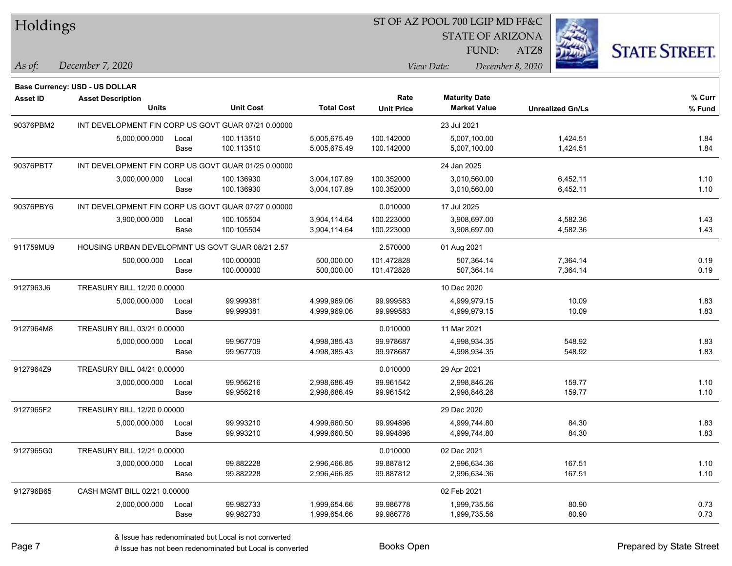**Base Currency: USD - US DOLLAR**

### ST OF AZ POOL 700 LGIP MD FF&C

STATE OF ARIZONA

ATZ8



*December 7, 2020 As of: View Date: December 8, 2020*

FUND:

| <b>Asset ID</b> | <b>Asset Description</b><br><b>Units</b>            |               | <b>Unit Cost</b>         | <b>Total Cost</b>            | Rate<br><b>Unit Price</b> | <b>Maturity Date</b><br><b>Market Value</b> | <b>Unrealized Gn/Ls</b> | % Curr<br>% Fund |
|-----------------|-----------------------------------------------------|---------------|--------------------------|------------------------------|---------------------------|---------------------------------------------|-------------------------|------------------|
| 90376PBM2       | INT DEVELOPMENT FIN CORP US GOVT GUAR 07/21 0.00000 |               |                          |                              |                           | 23 Jul 2021                                 |                         |                  |
|                 | 5,000,000.000                                       | Local<br>Base | 100.113510<br>100.113510 | 5,005,675.49<br>5,005,675.49 | 100.142000<br>100.142000  | 5,007,100.00<br>5,007,100.00                | 1,424.51<br>1,424.51    | 1.84<br>1.84     |
| 90376PBT7       | INT DEVELOPMENT FIN CORP US GOVT GUAR 01/25 0.00000 |               |                          |                              |                           | 24 Jan 2025                                 |                         |                  |
|                 | 3,000,000.000                                       | Local<br>Base | 100.136930<br>100.136930 | 3,004,107.89<br>3,004,107.89 | 100.352000<br>100.352000  | 3,010,560.00<br>3,010,560.00                | 6,452.11<br>6,452.11    | 1.10<br>1.10     |
| 90376PBY6       | INT DEVELOPMENT FIN CORP US GOVT GUAR 07/27 0.00000 |               |                          |                              | 0.010000                  | 17 Jul 2025                                 |                         |                  |
|                 | 3,900,000.000                                       | Local<br>Base | 100.105504<br>100.105504 | 3,904,114.64<br>3,904,114.64 | 100.223000<br>100.223000  | 3,908,697.00<br>3,908,697.00                | 4,582.36<br>4,582.36    | 1.43<br>1.43     |
| 911759MU9       | HOUSING URBAN DEVELOPMNT US GOVT GUAR 08/21 2.57    |               |                          |                              | 2.570000                  | 01 Aug 2021                                 |                         |                  |
|                 | 500,000.000                                         | Local<br>Base | 100.000000<br>100.000000 | 500,000.00<br>500,000.00     | 101.472828<br>101.472828  | 507,364.14<br>507,364.14                    | 7,364.14<br>7,364.14    | 0.19<br>0.19     |
| 9127963J6       | TREASURY BILL 12/20 0.00000                         |               |                          |                              |                           | 10 Dec 2020                                 |                         |                  |
|                 | 5,000,000.000                                       | Local<br>Base | 99.999381<br>99.999381   | 4,999,969.06<br>4,999,969.06 | 99.999583<br>99.999583    | 4,999,979.15<br>4,999,979.15                | 10.09<br>10.09          | 1.83<br>1.83     |
| 9127964M8       | TREASURY BILL 03/21 0.00000                         |               |                          |                              | 0.010000                  | 11 Mar 2021                                 |                         |                  |
|                 | 5,000,000.000                                       | Local<br>Base | 99.967709<br>99.967709   | 4,998,385.43<br>4,998,385.43 | 99.978687<br>99.978687    | 4,998,934.35<br>4,998,934.35                | 548.92<br>548.92        | 1.83<br>1.83     |
| 9127964Z9       | TREASURY BILL 04/21 0.00000                         |               |                          |                              | 0.010000                  | 29 Apr 2021                                 |                         |                  |
|                 | 3,000,000.000                                       | Local<br>Base | 99.956216<br>99.956216   | 2,998,686.49<br>2,998,686.49 | 99.961542<br>99.961542    | 2,998,846.26<br>2,998,846.26                | 159.77<br>159.77        | 1.10<br>1.10     |
| 9127965F2       | TREASURY BILL 12/20 0.00000                         |               |                          |                              |                           | 29 Dec 2020                                 |                         |                  |
|                 | 5,000,000.000                                       | Local<br>Base | 99.993210<br>99.993210   | 4,999,660.50<br>4,999,660.50 | 99.994896<br>99.994896    | 4,999,744.80<br>4,999,744.80                | 84.30<br>84.30          | 1.83<br>1.83     |
| 9127965G0       | TREASURY BILL 12/21 0.00000                         |               |                          |                              | 0.010000                  | 02 Dec 2021                                 |                         |                  |
|                 | 3,000,000.000                                       | Local<br>Base | 99.882228<br>99.882228   | 2,996,466.85<br>2,996,466.85 | 99.887812<br>99.887812    | 2.996.634.36<br>2,996,634.36                | 167.51<br>167.51        | 1.10<br>1.10     |
| 912796B65       | CASH MGMT BILL 02/21 0.00000                        |               |                          |                              |                           | 02 Feb 2021                                 |                         |                  |
|                 | 2,000,000.000                                       | Local<br>Base | 99.982733<br>99.982733   | 1,999,654.66<br>1,999,654.66 | 99.986778<br>99.986778    | 1,999,735.56<br>1,999,735.56                | 80.90<br>80.90          | 0.73<br>0.73     |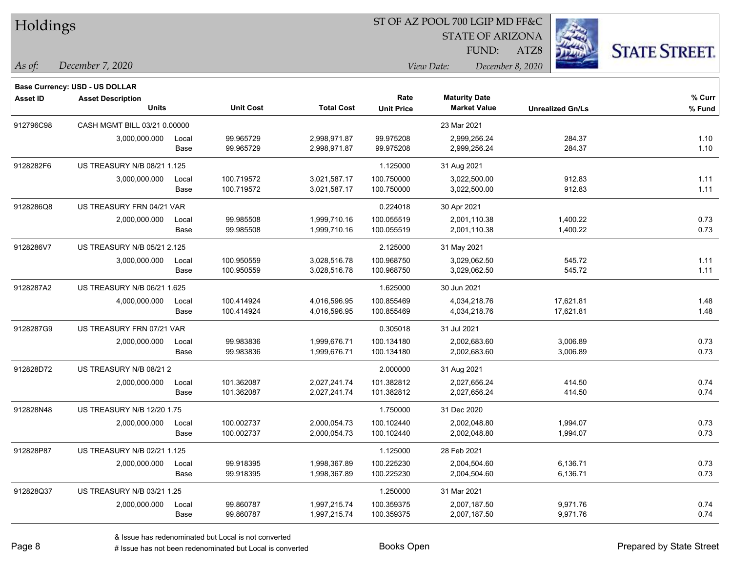### ST OF AZ POOL 700 LGIP MD FF&C

STATE OF ARIZONA

ATZ8



*As of: View Date: December 8, 2020* FUND:

| As of: | December 7, 2020 |  |
|--------|------------------|--|
|        |                  |  |

|                 | Base Currency: USD - US DOLLAR           |       |                  |                   |                   |                                             |                         |        |
|-----------------|------------------------------------------|-------|------------------|-------------------|-------------------|---------------------------------------------|-------------------------|--------|
| <b>Asset ID</b> | <b>Asset Description</b><br><b>Units</b> |       | <b>Unit Cost</b> | <b>Total Cost</b> | Rate              | <b>Maturity Date</b><br><b>Market Value</b> |                         | % Curr |
|                 |                                          |       |                  |                   | <b>Unit Price</b> |                                             | <b>Unrealized Gn/Ls</b> | % Fund |
| 912796C98       | CASH MGMT BILL 03/21 0.00000             |       |                  |                   |                   | 23 Mar 2021                                 |                         |        |
|                 | 3,000,000.000                            | Local | 99.965729        | 2,998,971.87      | 99.975208         | 2,999,256.24                                | 284.37                  | 1.10   |
|                 |                                          | Base  | 99.965729        | 2,998,971.87      | 99.975208         | 2,999,256.24                                | 284.37                  | 1.10   |
| 9128282F6       | US TREASURY N/B 08/21 1.125              |       |                  |                   | 1.125000          | 31 Aug 2021                                 |                         |        |
|                 | 3,000,000.000                            | Local | 100.719572       | 3,021,587.17      | 100.750000        | 3,022,500.00                                | 912.83                  | 1.11   |
|                 |                                          | Base  | 100.719572       | 3,021,587.17      | 100.750000        | 3,022,500.00                                | 912.83                  | 1.11   |
| 9128286Q8       | US TREASURY FRN 04/21 VAR                |       |                  |                   | 0.224018          | 30 Apr 2021                                 |                         |        |
|                 | 2,000,000.000                            | Local | 99.985508        | 1,999,710.16      | 100.055519        | 2,001,110.38                                | 1,400.22                | 0.73   |
|                 |                                          | Base  | 99.985508        | 1,999,710.16      | 100.055519        | 2,001,110.38                                | 1,400.22                | 0.73   |
| 9128286V7       | US TREASURY N/B 05/21 2.125              |       |                  |                   | 2.125000          | 31 May 2021                                 |                         |        |
|                 | 3,000,000.000                            | Local | 100.950559       | 3,028,516.78      | 100.968750        | 3,029,062.50                                | 545.72                  | 1.11   |
|                 |                                          | Base  | 100.950559       | 3,028,516.78      | 100.968750        | 3,029,062.50                                | 545.72                  | 1.11   |
| 9128287A2       | US TREASURY N/B 06/21 1.625              |       |                  |                   | 1.625000          | 30 Jun 2021                                 |                         |        |
|                 | 4,000,000.000                            | Local | 100.414924       | 4,016,596.95      | 100.855469        | 4,034,218.76                                | 17,621.81               | 1.48   |
|                 |                                          | Base  | 100.414924       | 4,016,596.95      | 100.855469        | 4,034,218.76                                | 17,621.81               | 1.48   |
| 9128287G9       | US TREASURY FRN 07/21 VAR                |       |                  |                   | 0.305018          | 31 Jul 2021                                 |                         |        |
|                 | 2,000,000.000                            | Local | 99.983836        | 1,999,676.71      | 100.134180        | 2,002,683.60                                | 3,006.89                | 0.73   |
|                 |                                          | Base  | 99.983836        | 1,999,676.71      | 100.134180        | 2,002,683.60                                | 3,006.89                | 0.73   |
| 912828D72       | US TREASURY N/B 08/21 2                  |       |                  |                   | 2.000000          | 31 Aug 2021                                 |                         |        |
|                 | 2,000,000.000                            | Local | 101.362087       | 2,027,241.74      | 101.382812        | 2,027,656.24                                | 414.50                  | 0.74   |
|                 |                                          | Base  | 101.362087       | 2,027,241.74      | 101.382812        | 2,027,656.24                                | 414.50                  | 0.74   |
| 912828N48       | <b>US TREASURY N/B 12/20 1.75</b>        |       |                  |                   | 1.750000          | 31 Dec 2020                                 |                         |        |
|                 | 2,000,000.000                            | Local | 100.002737       | 2,000,054.73      | 100.102440        | 2,002,048.80                                | 1,994.07                | 0.73   |
|                 |                                          | Base  | 100.002737       | 2,000,054.73      | 100.102440        | 2,002,048.80                                | 1,994.07                | 0.73   |
| 912828P87       | US TREASURY N/B 02/21 1.125              |       |                  |                   | 1.125000          | 28 Feb 2021                                 |                         |        |
|                 | 2,000,000.000                            | Local | 99.918395        | 1,998,367.89      | 100.225230        | 2,004,504.60                                | 6,136.71                | 0.73   |
|                 |                                          | Base  | 99.918395        | 1,998,367.89      | 100.225230        | 2,004,504.60                                | 6,136.71                | 0.73   |
| 912828Q37       | US TREASURY N/B 03/21 1.25               |       |                  |                   | 1.250000          | 31 Mar 2021                                 |                         |        |
|                 | 2,000,000.000                            | Local | 99.860787        | 1,997,215.74      | 100.359375        | 2,007,187.50                                | 9,971.76                | 0.74   |
|                 |                                          | Base  | 99.860787        | 1,997,215.74      | 100.359375        | 2,007,187.50                                | 9,971.76                | 0.74   |
|                 |                                          |       |                  |                   |                   |                                             |                         |        |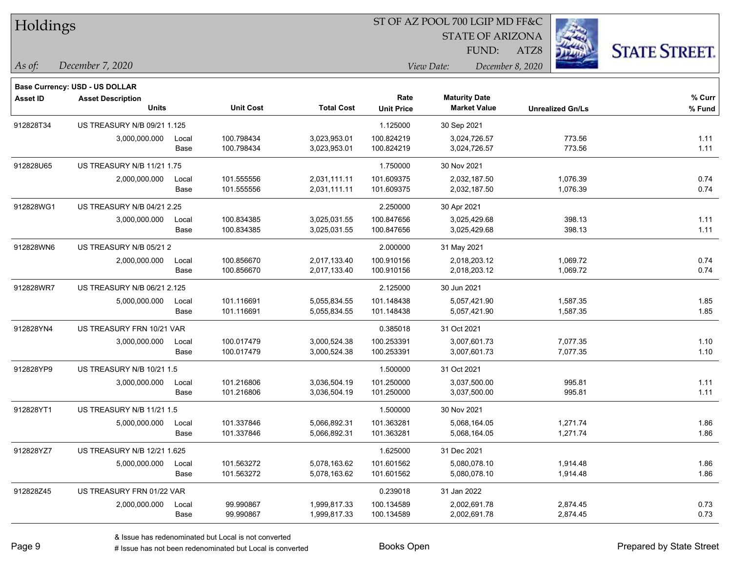| Holdings        |                                       |       |                  |                   | ST OF AZ POOL 700 LGIP MD FF&C |                         |                         |                      |  |  |
|-----------------|---------------------------------------|-------|------------------|-------------------|--------------------------------|-------------------------|-------------------------|----------------------|--|--|
|                 |                                       |       |                  |                   |                                | <b>STATE OF ARIZONA</b> |                         |                      |  |  |
|                 |                                       |       |                  |                   |                                | FUND:                   | ATZ8                    | <b>STATE STREET.</b> |  |  |
| As of:          | December 7, 2020                      |       |                  |                   |                                | View Date:              | December 8, 2020        |                      |  |  |
|                 | <b>Base Currency: USD - US DOLLAR</b> |       |                  |                   |                                |                         |                         |                      |  |  |
| <b>Asset ID</b> | <b>Asset Description</b>              |       |                  |                   | Rate                           | <b>Maturity Date</b>    |                         | % Curr               |  |  |
|                 | <b>Units</b>                          |       | <b>Unit Cost</b> | <b>Total Cost</b> | <b>Unit Price</b>              | <b>Market Value</b>     | <b>Unrealized Gn/Ls</b> | % Fund               |  |  |
| 912828T34       | US TREASURY N/B 09/21 1.125           |       |                  |                   | 1.125000                       | 30 Sep 2021             |                         |                      |  |  |
|                 | 3,000,000.000                         | Local | 100.798434       | 3,023,953.01      | 100.824219                     | 3,024,726.57            | 773.56                  | 1.11                 |  |  |
|                 |                                       | Base  | 100.798434       | 3,023,953.01      | 100.824219                     | 3,024,726.57            | 773.56                  | 1.11                 |  |  |
| 912828U65       | US TREASURY N/B 11/21 1.75            |       |                  |                   | 1.750000                       | 30 Nov 2021             |                         |                      |  |  |
|                 | 2,000,000.000                         | Local | 101.555556       | 2,031,111.11      | 101.609375                     | 2,032,187.50            | 1,076.39                | 0.74                 |  |  |
|                 |                                       | Base  | 101.555556       | 2,031,111.11      | 101.609375                     | 2,032,187.50            | 1,076.39                | 0.74                 |  |  |
| 912828WG1       | <b>US TREASURY N/B 04/21 2.25</b>     |       |                  |                   | 2.250000                       | 30 Apr 2021             |                         |                      |  |  |
|                 | 3,000,000.000                         | Local | 100.834385       | 3,025,031.55      | 100.847656                     | 3,025,429.68            | 398.13                  | 1.11                 |  |  |
|                 |                                       | Base  | 100.834385       | 3,025,031.55      | 100.847656                     | 3,025,429.68            | 398.13                  | 1.11                 |  |  |
| 912828WN6       | US TREASURY N/B 05/21 2               |       |                  |                   | 2.000000                       | 31 May 2021             |                         |                      |  |  |
|                 | 2,000,000.000                         | Local | 100.856670       | 2,017,133.40      | 100.910156                     | 2,018,203.12            | 1,069.72                | 0.74                 |  |  |
|                 |                                       | Base  | 100.856670       | 2,017,133.40      | 100.910156                     | 2,018,203.12            | 1,069.72                | 0.74                 |  |  |
| 912828WR7       | US TREASURY N/B 06/21 2.125           |       |                  |                   | 2.125000                       | 30 Jun 2021             |                         |                      |  |  |
|                 | 5,000,000.000                         | Local | 101.116691       | 5,055,834.55      | 101.148438                     | 5,057,421.90            | 1,587.35                | 1.85                 |  |  |
|                 |                                       | Base  | 101.116691       | 5,055,834.55      | 101.148438                     | 5,057,421.90            | 1,587.35                | 1.85                 |  |  |
| 912828YN4       | US TREASURY FRN 10/21 VAR             |       |                  |                   | 0.385018                       | 31 Oct 2021             |                         |                      |  |  |
|                 | 3,000,000.000                         | Local | 100.017479       | 3,000,524.38      | 100.253391                     | 3,007,601.73            | 7,077.35                | 1.10                 |  |  |
|                 |                                       | Base  | 100.017479       | 3,000,524.38      | 100.253391                     | 3,007,601.73            | 7,077.35                | 1.10                 |  |  |
| 912828YP9       | US TREASURY N/B 10/21 1.5             |       |                  |                   | 1.500000                       | 31 Oct 2021             |                         |                      |  |  |
|                 | 3,000,000.000                         | Local | 101.216806       | 3,036,504.19      | 101.250000                     | 3,037,500.00            | 995.81                  | 1.11                 |  |  |
|                 |                                       | Base  | 101.216806       | 3,036,504.19      | 101.250000                     | 3,037,500.00            | 995.81                  | 1.11                 |  |  |
| 912828YT1       | US TREASURY N/B 11/21 1.5             |       |                  |                   | 1.500000                       | 30 Nov 2021             |                         |                      |  |  |
|                 | 5,000,000.000                         | Local | 101.337846       | 5,066,892.31      | 101.363281                     | 5,068,164.05            | 1,271.74                | 1.86                 |  |  |
|                 |                                       | Base  | 101.337846       | 5,066,892.31      | 101.363281                     | 5,068,164.05            | 1,271.74                | 1.86                 |  |  |
| 912828YZ7       | US TREASURY N/B 12/21 1.625           |       |                  |                   | 1.625000                       | 31 Dec 2021             |                         |                      |  |  |
|                 | 5,000,000.000                         | Local | 101.563272       | 5,078,163.62      | 101.601562                     | 5,080,078.10            | 1,914.48                | 1.86                 |  |  |
|                 |                                       | Base  | 101.563272       | 5,078,163.62      | 101.601562                     | 5,080,078.10            | 1,914.48                | 1.86                 |  |  |
| 912828Z45       | US TREASURY FRN 01/22 VAR             |       |                  |                   | 0.239018                       | 31 Jan 2022             |                         |                      |  |  |
|                 | 2,000,000.000                         | Local | 99.990867        | 1,999,817.33      | 100.134589                     | 2,002,691.78            | 2,874.45                | 0.73                 |  |  |
|                 |                                       | Base  | 99.990867        | 1,999,817.33      | 100.134589                     | 2,002,691.78            | 2,874.45                | 0.73                 |  |  |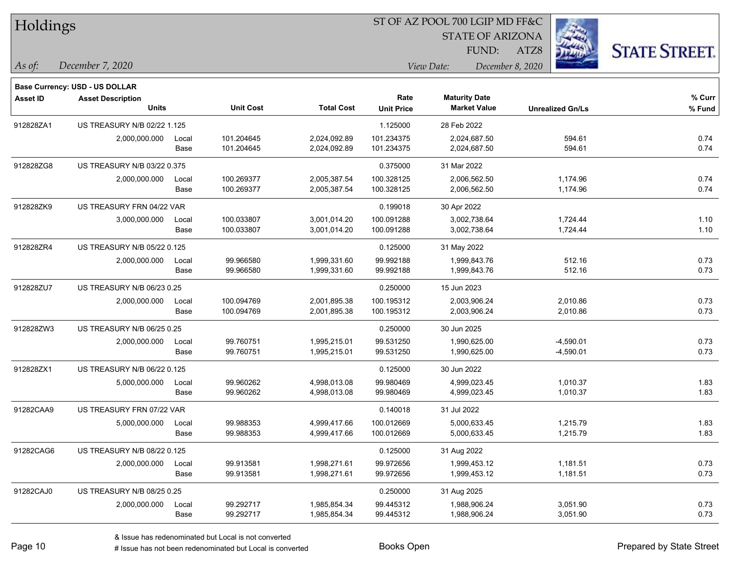| Holdings        |                                |       |                  |                   | ST OF AZ POOL 700 LGIP MD FF&C |                         |                         |                      |
|-----------------|--------------------------------|-------|------------------|-------------------|--------------------------------|-------------------------|-------------------------|----------------------|
|                 |                                |       |                  |                   |                                | <b>STATE OF ARIZONA</b> |                         |                      |
|                 |                                |       |                  |                   |                                | FUND:                   | ATZ8                    | <b>STATE STREET.</b> |
| As of:          | December 7, 2020               |       |                  |                   |                                | View Date:              | December 8, 2020        |                      |
|                 | Base Currency: USD - US DOLLAR |       |                  |                   |                                |                         |                         |                      |
| <b>Asset ID</b> | <b>Asset Description</b>       |       |                  |                   | Rate                           | <b>Maturity Date</b>    |                         | % Curr               |
|                 | <b>Units</b>                   |       | <b>Unit Cost</b> | <b>Total Cost</b> | <b>Unit Price</b>              | <b>Market Value</b>     | <b>Unrealized Gn/Ls</b> | % Fund               |
| 912828ZA1       | US TREASURY N/B 02/22 1.125    |       |                  |                   | 1.125000                       | 28 Feb 2022             |                         |                      |
|                 | 2,000,000.000                  | Local | 101.204645       | 2,024,092.89      | 101.234375                     | 2,024,687.50            | 594.61                  | 0.74                 |
|                 |                                | Base  | 101.204645       | 2,024,092.89      | 101.234375                     | 2,024,687.50            | 594.61                  | 0.74                 |
| 912828ZG8       | US TREASURY N/B 03/22 0.375    |       |                  |                   | 0.375000                       | 31 Mar 2022             |                         |                      |
|                 | 2,000,000.000                  | Local | 100.269377       | 2,005,387.54      | 100.328125                     | 2,006,562.50            | 1,174.96                | 0.74                 |
|                 |                                | Base  | 100.269377       | 2,005,387.54      | 100.328125                     | 2,006,562.50            | 1,174.96                | 0.74                 |
| 912828ZK9       | US TREASURY FRN 04/22 VAR      |       |                  |                   | 0.199018                       | 30 Apr 2022             |                         |                      |
|                 | 3,000,000.000                  | Local | 100.033807       | 3,001,014.20      | 100.091288                     | 3,002,738.64            | 1,724.44                | 1.10                 |
|                 |                                | Base  | 100.033807       | 3,001,014.20      | 100.091288                     | 3,002,738.64            | 1,724.44                | 1.10                 |
| 912828ZR4       | US TREASURY N/B 05/22 0.125    |       |                  |                   | 0.125000                       | 31 May 2022             |                         |                      |
|                 | 2,000,000.000                  | Local | 99.966580        | 1,999,331.60      | 99.992188                      | 1,999,843.76            | 512.16                  | 0.73                 |
|                 |                                | Base  | 99.966580        | 1,999,331.60      | 99.992188                      | 1,999,843.76            | 512.16                  | 0.73                 |
| 912828ZU7       | US TREASURY N/B 06/23 0.25     |       |                  |                   | 0.250000                       | 15 Jun 2023             |                         |                      |
|                 | 2,000,000.000                  | Local | 100.094769       | 2,001,895.38      | 100.195312                     | 2,003,906.24            | 2,010.86                | 0.73                 |
|                 |                                | Base  | 100.094769       | 2,001,895.38      | 100.195312                     | 2,003,906.24            | 2,010.86                | 0.73                 |
| 912828ZW3       | US TREASURY N/B 06/25 0.25     |       |                  |                   | 0.250000                       | 30 Jun 2025             |                         |                      |
|                 | 2,000,000.000                  | Local | 99.760751        | 1,995,215.01      | 99.531250                      | 1,990,625.00            | $-4,590.01$             | 0.73                 |
|                 |                                | Base  | 99.760751        | 1,995,215.01      | 99.531250                      | 1,990,625.00            | $-4,590.01$             | 0.73                 |
| 912828ZX1       | US TREASURY N/B 06/22 0.125    |       |                  |                   | 0.125000                       | 30 Jun 2022             |                         |                      |
|                 | 5,000,000.000                  | Local | 99.960262        | 4,998,013.08      | 99.980469                      | 4,999,023.45            | 1,010.37                | 1.83                 |
|                 |                                | Base  | 99.960262        | 4,998,013.08      | 99.980469                      | 4,999,023.45            | 1,010.37                | 1.83                 |
| 91282CAA9       | US TREASURY FRN 07/22 VAR      |       |                  |                   | 0.140018                       | 31 Jul 2022             |                         |                      |
|                 | 5,000,000.000                  | Local | 99.988353        | 4,999,417.66      | 100.012669                     | 5,000,633.45            | 1,215.79                | 1.83                 |
|                 |                                | Base  | 99.988353        | 4,999,417.66      | 100.012669                     | 5,000,633.45            | 1,215.79                | 1.83                 |
| 91282CAG6       | US TREASURY N/B 08/22 0.125    |       |                  |                   | 0.125000                       | 31 Aug 2022             |                         |                      |
|                 | 2,000,000.000                  | Local | 99.913581        | 1,998,271.61      | 99.972656                      | 1,999,453.12            | 1,181.51                | 0.73                 |
|                 |                                | Base  | 99.913581        | 1,998,271.61      | 99.972656                      | 1,999,453.12            | 1,181.51                | 0.73                 |
| 91282CAJ0       | US TREASURY N/B 08/25 0.25     |       |                  |                   | 0.250000                       | 31 Aug 2025             |                         |                      |
|                 | 2,000,000.000                  | Local | 99.292717        | 1,985,854.34      | 99.445312                      | 1,988,906.24            | 3,051.90                | 0.73                 |
|                 |                                | Base  | 99.292717        | 1,985,854.34      | 99.445312                      | 1,988,906.24            | 3,051.90                | 0.73                 |

 $\overline{\phantom{0}}$ 

 $\overline{\phantom{a}}$ 

 $\overline{\phantom{0}}$ 

 $\overline{\phantom{a}}$ 

 $\overline{\phantom{0}}$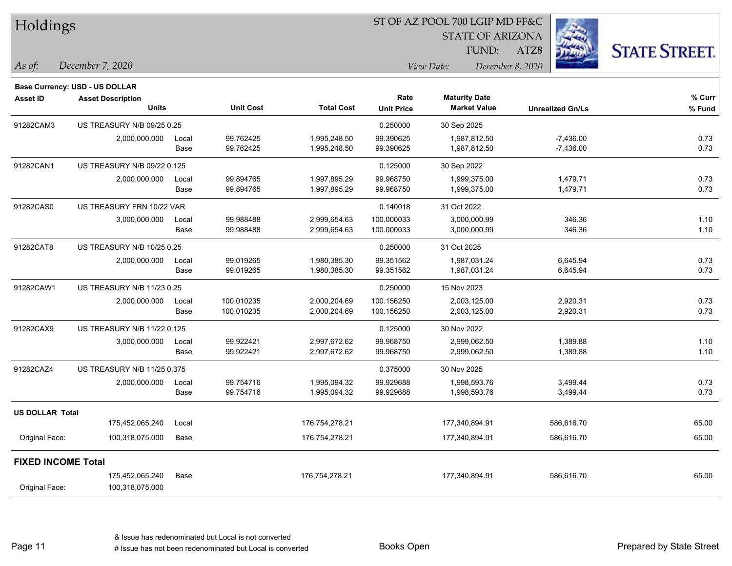| Holdings                  |                                          |               |                          |                              | ST OF AZ POOL 700 LGIP MD FF&C |                      |                              |                  |                            |                      |  |
|---------------------------|------------------------------------------|---------------|--------------------------|------------------------------|--------------------------------|----------------------|------------------------------|------------------|----------------------------|----------------------|--|
|                           |                                          |               |                          |                              |                                |                      | <b>STATE OF ARIZONA</b>      |                  |                            |                      |  |
|                           |                                          |               |                          |                              |                                |                      | FUND:                        | ATZ8             |                            | <b>STATE STREET.</b> |  |
| As of:                    | December 7, 2020                         |               |                          |                              | View Date:                     |                      |                              | December 8, 2020 |                            |                      |  |
|                           | Base Currency: USD - US DOLLAR           |               |                          |                              |                                |                      |                              |                  |                            |                      |  |
| Asset ID                  | <b>Asset Description</b><br><b>Units</b> |               | <b>Unit Cost</b>         | <b>Total Cost</b>            | Rate<br><b>Unit Price</b>      | <b>Maturity Date</b> | <b>Market Value</b>          |                  | <b>Unrealized Gn/Ls</b>    | % Curr<br>% Fund     |  |
| 91282CAM3                 | US TREASURY N/B 09/25 0.25               |               |                          |                              | 0.250000                       | 30 Sep 2025          |                              |                  |                            |                      |  |
|                           | 2,000,000.000                            | Local<br>Base | 99.762425<br>99.762425   | 1,995,248.50<br>1,995,248.50 | 99.390625<br>99.390625         |                      | 1,987,812.50<br>1,987,812.50 |                  | $-7,436.00$<br>$-7,436.00$ | 0.73<br>0.73         |  |
| 91282CAN1                 | US TREASURY N/B 09/22 0.125              |               |                          |                              | 0.125000                       | 30 Sep 2022          |                              |                  |                            |                      |  |
|                           | 2,000,000.000                            | Local<br>Base | 99.894765<br>99.894765   | 1,997,895.29<br>1,997,895.29 | 99.968750<br>99.968750         |                      | 1,999,375.00<br>1,999,375.00 |                  | 1,479.71<br>1,479.71       | 0.73<br>0.73         |  |
| 91282CAS0                 | US TREASURY FRN 10/22 VAR                |               |                          |                              | 0.140018                       | 31 Oct 2022          |                              |                  |                            |                      |  |
|                           | 3,000,000.000                            | Local<br>Base | 99.988488<br>99.988488   | 2,999,654.63<br>2,999,654.63 | 100.000033<br>100.000033       |                      | 3,000,000.99<br>3,000,000.99 |                  | 346.36<br>346.36           | 1.10<br>1.10         |  |
| 91282CAT8                 | US TREASURY N/B 10/25 0.25               |               |                          |                              | 0.250000                       | 31 Oct 2025          |                              |                  |                            |                      |  |
|                           | 2,000,000.000                            | Local<br>Base | 99.019265<br>99.019265   | 1,980,385.30<br>1,980,385.30 | 99.351562<br>99.351562         |                      | 1,987,031.24<br>1,987,031.24 |                  | 6,645.94<br>6,645.94       | 0.73<br>0.73         |  |
| 91282CAW1                 | US TREASURY N/B 11/23 0.25               |               |                          |                              | 0.250000                       | 15 Nov 2023          |                              |                  |                            |                      |  |
|                           | 2,000,000.000                            | Local<br>Base | 100.010235<br>100.010235 | 2,000,204.69<br>2,000,204.69 | 100.156250<br>100.156250       |                      | 2,003,125.00<br>2,003,125.00 |                  | 2,920.31<br>2,920.31       | 0.73<br>0.73         |  |
| 91282CAX9                 | US TREASURY N/B 11/22 0.125              |               |                          |                              | 0.125000                       | 30 Nov 2022          |                              |                  |                            |                      |  |
|                           | 3,000,000.000                            | Local<br>Base | 99.922421<br>99.922421   | 2,997,672.62<br>2,997,672.62 | 99.968750<br>99.968750         |                      | 2,999,062.50<br>2,999,062.50 |                  | 1,389.88<br>1,389.88       | 1.10<br>1.10         |  |
| 91282CAZ4                 | US TREASURY N/B 11/25 0.375              |               |                          |                              | 0.375000                       | 30 Nov 2025          |                              |                  |                            |                      |  |
|                           | 2,000,000.000                            | Local<br>Base | 99.754716<br>99.754716   | 1,995,094.32<br>1,995,094.32 | 99.929688<br>99.929688         |                      | 1,998,593.76<br>1,998,593.76 |                  | 3,499.44<br>3,499.44       | 0.73<br>0.73         |  |
| US DOLLAR Total           |                                          |               |                          |                              |                                |                      |                              |                  |                            |                      |  |
|                           | 175,452,065.240                          | Local         |                          | 176,754,278.21               |                                |                      | 177,340,894.91               |                  | 586,616.70                 | 65.00                |  |
| Original Face:            | 100,318,075.000                          | Base          |                          | 176,754,278.21               |                                |                      | 177,340,894.91               |                  | 586,616.70                 | 65.00                |  |
| <b>FIXED INCOME Total</b> |                                          |               |                          |                              |                                |                      |                              |                  |                            |                      |  |
| Original Face:            | 175,452,065.240<br>100,318,075.000       | Base          |                          | 176,754,278.21               |                                |                      | 177,340,894.91               |                  | 586,616.70                 | 65.00                |  |

Page 11

 $\overline{\phantom{0}}$ 

 $\overline{\phantom{0}}$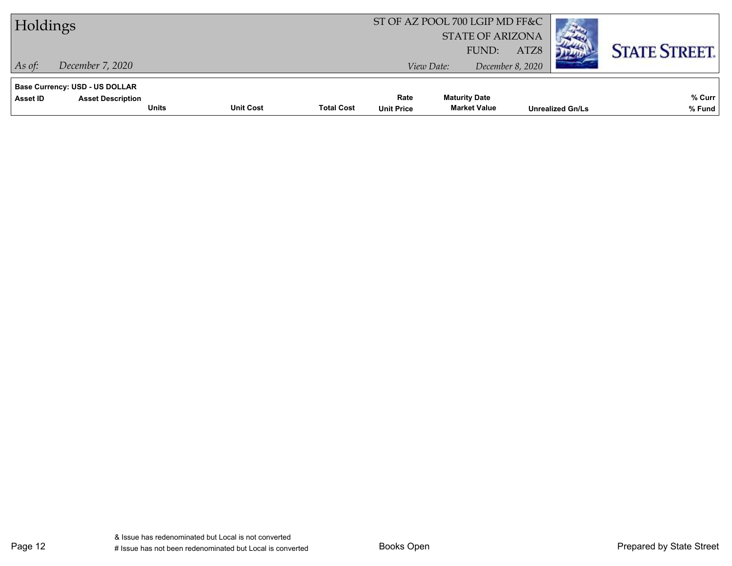| Holdings                                                                                      |                  |                   |                           | ST OF AZ POOL 700 LGIP MD FF&C<br><b>STATE OF ARIZONA</b> |                          |                         |                      |  |
|-----------------------------------------------------------------------------------------------|------------------|-------------------|---------------------------|-----------------------------------------------------------|--------------------------|-------------------------|----------------------|--|
| December 7, 2020<br>As of:                                                                    |                  |                   |                           | FUND:<br>View Date:                                       | ATZ8<br>December 8, 2020 |                         | <b>STATE STREET.</b> |  |
| <b>Base Currency: USD - US DOLLAR</b><br><b>Asset Description</b><br>Asset ID<br><b>Units</b> | <b>Unit Cost</b> | <b>Total Cost</b> | Rate<br><b>Unit Price</b> | <b>Maturity Date</b><br><b>Market Value</b>               |                          | <b>Unrealized Gn/Ls</b> | % Curr<br>% Fund     |  |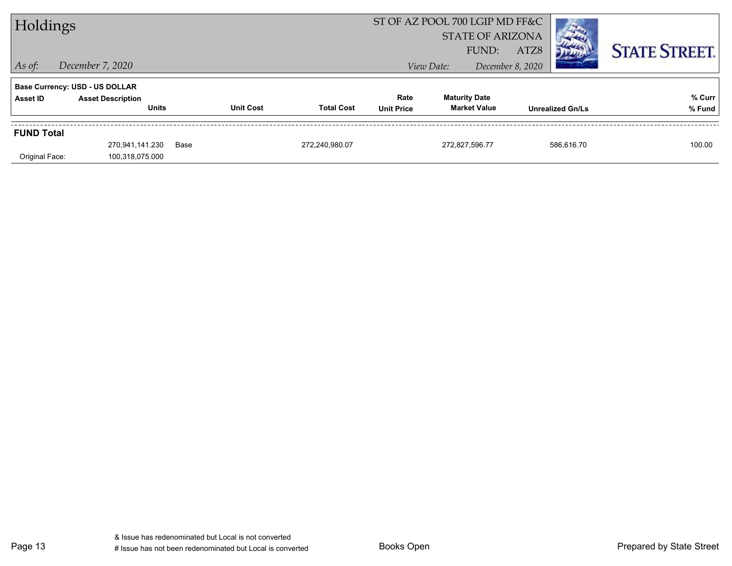| Holdings          |                                          |      |                  |                   |                           | ST OF AZ POOL 700 LGIP MD FF&C<br><b>STATE OF ARIZONA</b> |                                             |                          | <b>STATE STREET.</b>    |                  |
|-------------------|------------------------------------------|------|------------------|-------------------|---------------------------|-----------------------------------------------------------|---------------------------------------------|--------------------------|-------------------------|------------------|
| $\vert$ As of:    | December 7, 2020                         |      |                  |                   |                           | View Date:                                                | FUND:                                       | ATZ8<br>December 8, 2020 |                         |                  |
|                   | <b>Base Currency: USD - US DOLLAR</b>    |      |                  |                   |                           |                                                           |                                             |                          |                         |                  |
| Asset ID          | <b>Asset Description</b><br><b>Units</b> |      | <b>Unit Cost</b> | <b>Total Cost</b> | Rate<br><b>Unit Price</b> |                                                           | <b>Maturity Date</b><br><b>Market Value</b> |                          | <b>Unrealized Gn/Ls</b> | % Curr<br>% Fund |
| <b>FUND Total</b> |                                          |      |                  |                   |                           |                                                           |                                             |                          |                         |                  |
| Original Face:    | 270,941,141.230<br>100,318,075.000       | Base |                  | 272,240,980.07    |                           |                                                           | 272,827,596.77                              |                          | 586.616.70              | 100.00           |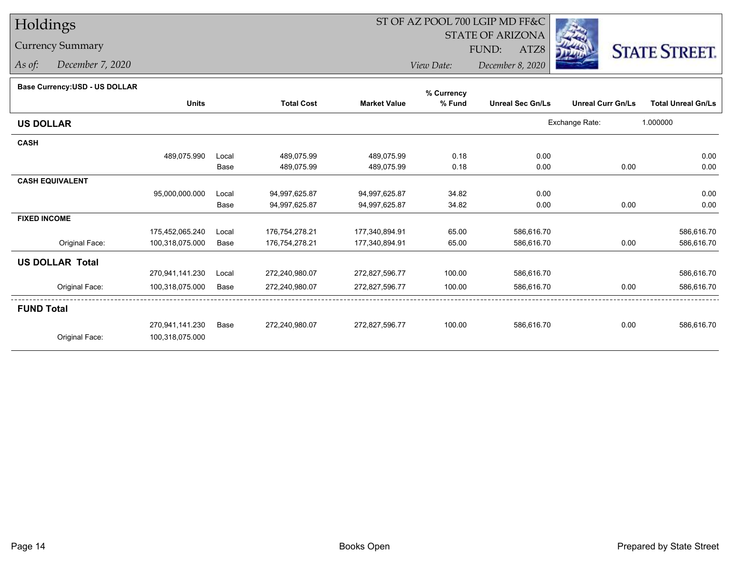## Currency Summary

*As of: December 7, 2020*

# ST OF AZ POOL 700 LGIP MD FF&C

STATE OF ARIZONA

ATZ8



*View Date: December 8, 2020*FUND:

#### **Base Currency:USD - US DOLLAR**

|                        |                 |       |                   |                     | % Currency |                         |                          |                           |
|------------------------|-----------------|-------|-------------------|---------------------|------------|-------------------------|--------------------------|---------------------------|
|                        | <b>Units</b>    |       | <b>Total Cost</b> | <b>Market Value</b> | % Fund     | <b>Unreal Sec Gn/Ls</b> | <b>Unreal Curr Gn/Ls</b> | <b>Total Unreal Gn/Ls</b> |
| <b>US DOLLAR</b>       |                 |       |                   |                     |            |                         | Exchange Rate:           | 1.000000                  |
| <b>CASH</b>            |                 |       |                   |                     |            |                         |                          |                           |
|                        | 489,075.990     | Local | 489,075.99        | 489,075.99          | 0.18       | 0.00                    |                          | 0.00                      |
|                        |                 | Base  | 489,075.99        | 489,075.99          | 0.18       | 0.00                    | 0.00                     | 0.00                      |
| <b>CASH EQUIVALENT</b> |                 |       |                   |                     |            |                         |                          |                           |
|                        | 95,000,000.000  | Local | 94,997,625.87     | 94,997,625.87       | 34.82      | 0.00                    |                          | 0.00                      |
|                        |                 | Base  | 94,997,625.87     | 94,997,625.87       | 34.82      | 0.00                    | 0.00                     | 0.00                      |
| <b>FIXED INCOME</b>    |                 |       |                   |                     |            |                         |                          |                           |
|                        | 175,452,065.240 | Local | 176,754,278.21    | 177,340,894.91      | 65.00      | 586,616.70              |                          | 586,616.70                |
| Original Face:         | 100,318,075.000 | Base  | 176,754,278.21    | 177,340,894.91      | 65.00      | 586,616.70              | 0.00                     | 586,616.70                |
| <b>US DOLLAR Total</b> |                 |       |                   |                     |            |                         |                          |                           |
|                        | 270,941,141.230 | Local | 272,240,980.07    | 272,827,596.77      | 100.00     | 586,616.70              |                          | 586,616.70                |
| Original Face:         | 100,318,075.000 | Base  | 272,240,980.07    | 272,827,596.77      | 100.00     | 586,616.70              | 0.00                     | 586,616.70                |
| <b>FUND Total</b>      |                 |       |                   |                     |            |                         |                          |                           |
|                        | 270,941,141.230 | Base  | 272,240,980.07    | 272,827,596.77      | 100.00     | 586,616.70              | 0.00                     | 586,616.70                |
| Original Face:         | 100,318,075.000 |       |                   |                     |            |                         |                          |                           |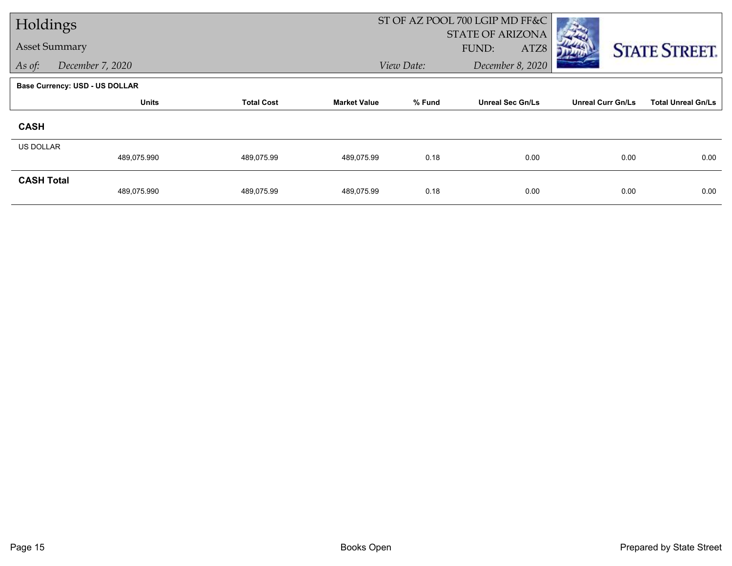|                   | Holdings                              |                   |                     |            | ST OF AZ POOL 700 LGIP MD FF&C           |                          |                           |  |
|-------------------|---------------------------------------|-------------------|---------------------|------------|------------------------------------------|--------------------------|---------------------------|--|
|                   | <b>Asset Summary</b>                  |                   |                     |            | <b>STATE OF ARIZONA</b><br>FUND:<br>ATZ8 |                          |                           |  |
|                   |                                       |                   |                     |            |                                          |                          | <b>STATE STREET.</b>      |  |
| As of:            | December 7, 2020                      |                   |                     | View Date: | December 8, 2020                         |                          |                           |  |
|                   | <b>Base Currency: USD - US DOLLAR</b> |                   |                     |            |                                          |                          |                           |  |
|                   | <b>Units</b>                          | <b>Total Cost</b> | <b>Market Value</b> | % Fund     | <b>Unreal Sec Gn/Ls</b>                  | <b>Unreal Curr Gn/Ls</b> | <b>Total Unreal Gn/Ls</b> |  |
| <b>CASH</b>       |                                       |                   |                     |            |                                          |                          |                           |  |
| <b>US DOLLAR</b>  |                                       |                   |                     |            |                                          |                          |                           |  |
|                   | 489,075.990                           | 489,075.99        | 489,075.99          | 0.18       | 0.00                                     | 0.00                     | 0.00                      |  |
| <b>CASH Total</b> |                                       |                   |                     |            |                                          |                          |                           |  |
|                   | 489,075.990                           | 489,075.99        | 489,075.99          | 0.18       | 0.00                                     | 0.00                     | 0.00                      |  |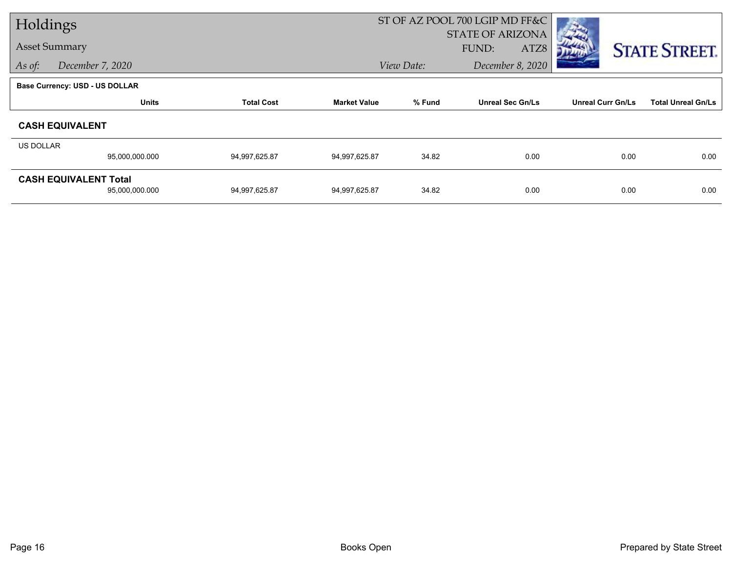|           | Holdings                       |                   |                     | ST OF AZ POOL 700 LGIP MD FF&C |                         |                          |                           |
|-----------|--------------------------------|-------------------|---------------------|--------------------------------|-------------------------|--------------------------|---------------------------|
|           |                                |                   |                     |                                | <b>STATE OF ARIZONA</b> |                          |                           |
|           | <b>Asset Summary</b>           |                   |                     |                                | FUND:<br>ATZ8           |                          | <b>STATE STREET.</b>      |
| As of:    | December 7, 2020               |                   |                     | View Date:<br>December 8, 2020 |                         |                          |                           |
|           | Base Currency: USD - US DOLLAR |                   |                     |                                |                         |                          |                           |
|           | <b>Units</b>                   | <b>Total Cost</b> | <b>Market Value</b> | % Fund                         | <b>Unreal Sec Gn/Ls</b> | <b>Unreal Curr Gn/Ls</b> | <b>Total Unreal Gn/Ls</b> |
|           | <b>CASH EQUIVALENT</b>         |                   |                     |                                |                         |                          |                           |
| US DOLLAR |                                |                   |                     |                                |                         |                          |                           |
|           | 95,000,000.000                 | 94,997,625.87     | 94,997,625.87       | 34.82                          | 0.00                    | 0.00                     | 0.00                      |
|           | <b>CASH EQUIVALENT Total</b>   |                   |                     |                                |                         |                          |                           |
|           | 95,000,000.000                 | 94,997,625.87     | 94,997,625.87       | 34.82                          | 0.00                    | 0.00                     | 0.00                      |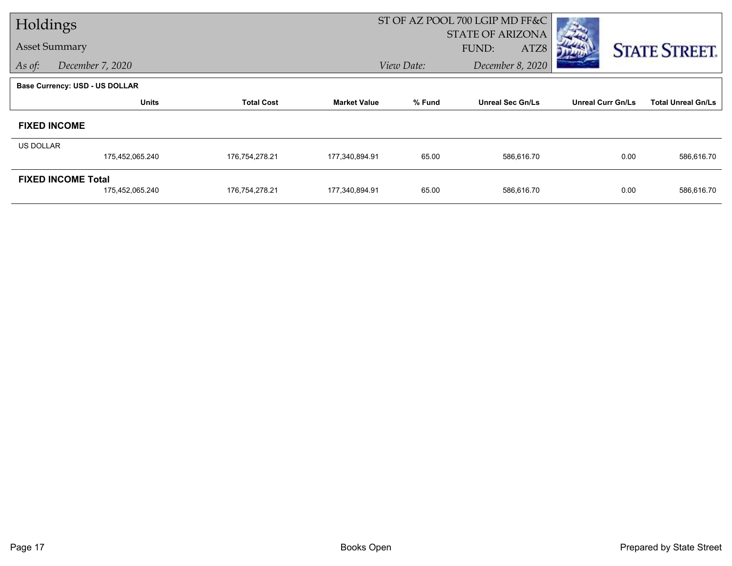| Holdings             |                                       |                   |                     | ST OF AZ POOL 700 LGIP MD FF&C |                         |                          |                           |
|----------------------|---------------------------------------|-------------------|---------------------|--------------------------------|-------------------------|--------------------------|---------------------------|
|                      |                                       |                   |                     |                                | <b>STATE OF ARIZONA</b> |                          |                           |
| <b>Asset Summary</b> |                                       |                   |                     |                                | FUND:<br>ATZ8           |                          | <b>STATE STREET.</b>      |
| As of:               | December 7, 2020                      |                   |                     | View Date:                     | December 8, 2020        |                          |                           |
|                      | <b>Base Currency: USD - US DOLLAR</b> |                   |                     |                                |                         |                          |                           |
|                      | <b>Units</b>                          | <b>Total Cost</b> | <b>Market Value</b> | % Fund                         | <b>Unreal Sec Gn/Ls</b> | <b>Unreal Curr Gn/Ls</b> | <b>Total Unreal Gn/Ls</b> |
|                      | <b>FIXED INCOME</b>                   |                   |                     |                                |                         |                          |                           |
| US DOLLAR            |                                       |                   |                     |                                |                         |                          |                           |
|                      | 175,452,065.240                       | 176,754,278.21    | 177,340,894.91      | 65.00                          | 586,616.70              | 0.00                     | 586,616.70                |
|                      | <b>FIXED INCOME Total</b>             |                   |                     |                                |                         |                          |                           |
|                      | 175,452,065.240                       | 176,754,278.21    | 177,340,894.91      | 65.00                          | 586,616.70              | 0.00                     | 586,616.70                |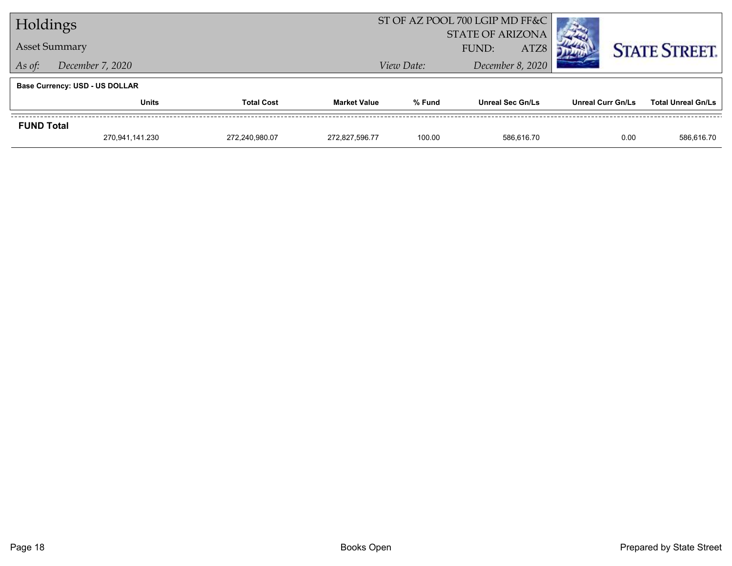| Holdings          |                                       |                   |                     |            | ST OF AZ POOL 700 LGIP MD FF&C |                   |                           |
|-------------------|---------------------------------------|-------------------|---------------------|------------|--------------------------------|-------------------|---------------------------|
|                   |                                       |                   |                     |            | <b>STATE OF ARIZONA</b>        |                   |                           |
|                   | <b>Asset Summary</b>                  |                   |                     |            | ATZ8<br>FUND:                  |                   | <b>STATE STREET.</b>      |
| As of:            | December 7, 2020                      |                   |                     | View Date: | December 8, 2020               |                   |                           |
|                   | <b>Base Currency: USD - US DOLLAR</b> |                   |                     |            |                                |                   |                           |
|                   | <b>Units</b>                          | <b>Total Cost</b> | <b>Market Value</b> | % Fund     | <b>Unreal Sec Gn/Ls</b>        | Unreal Curr Gn/Ls | <b>Total Unreal Gn/Ls</b> |
| <b>FUND Total</b> |                                       |                   |                     |            |                                |                   |                           |
|                   | 270,941,141.230                       | 272,240,980.07    | 272,827,596.77      | 100.00     | 586,616.70                     | 0.00              | 586,616.70                |